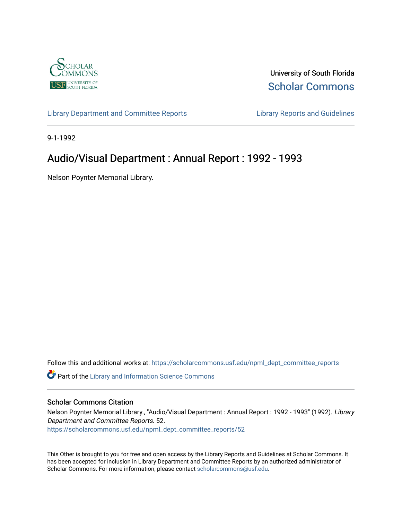

University of South Florida [Scholar Commons](https://scholarcommons.usf.edu/) 

[Library Department and Committee Reports](https://scholarcommons.usf.edu/npml_dept_committee_reports) [Library Reports and Guidelines](https://scholarcommons.usf.edu/npml_reports_guidelines_instruct_materials) 

9-1-1992

## Audio/Visual Department : Annual Report : 1992 - 1993

Nelson Poynter Memorial Library.

Follow this and additional works at: [https://scholarcommons.usf.edu/npml\\_dept\\_committee\\_reports](https://scholarcommons.usf.edu/npml_dept_committee_reports?utm_source=scholarcommons.usf.edu%2Fnpml_dept_committee_reports%2F52&utm_medium=PDF&utm_campaign=PDFCoverPages)

Part of the [Library and Information Science Commons](http://network.bepress.com/hgg/discipline/1018?utm_source=scholarcommons.usf.edu%2Fnpml_dept_committee_reports%2F52&utm_medium=PDF&utm_campaign=PDFCoverPages) 

## Scholar Commons Citation

Nelson Poynter Memorial Library., "Audio/Visual Department : Annual Report : 1992 - 1993" (1992). Library Department and Committee Reports. 52. [https://scholarcommons.usf.edu/npml\\_dept\\_committee\\_reports/52](https://scholarcommons.usf.edu/npml_dept_committee_reports/52?utm_source=scholarcommons.usf.edu%2Fnpml_dept_committee_reports%2F52&utm_medium=PDF&utm_campaign=PDFCoverPages) 

This Other is brought to you for free and open access by the Library Reports and Guidelines at Scholar Commons. It has been accepted for inclusion in Library Department and Committee Reports by an authorized administrator of Scholar Commons. For more information, please contact [scholarcommons@usf.edu](mailto:scholarcommons@usf.edu).